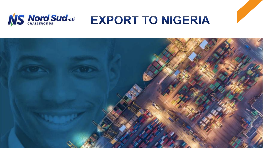

# **EXPORT TO NIGERIA**

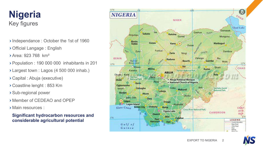## Key figures **Nigeria**

- Independance: October the 1st of 1960
- Official Langage : English
- Area: 923 768 km²
- Population : 190 000 000 inhabitants in 201
- Largest town : Lagos (4 500 000 inhab.)
- Capital : Abuja (executive)
- Coastline lenght : 853 Km
- Sub-regional power
- Member of CEDEAO and OPEP
- Main resources :

### **Significant hydrocarbon resources and considerable agricultural potential**





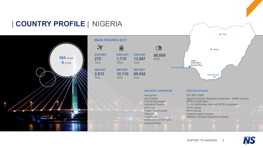

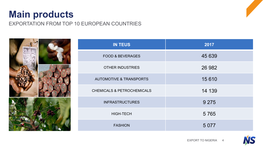## **Main products**

EXPORTATION FROM TOP 10 EUROPEAN COUNTRIES



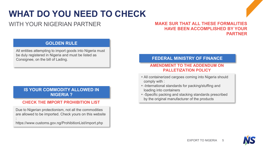## **WHAT DO YOU NEED TO CHECK**

### WITH YOUR NIGERIAN PARTNER

#### **MAKE SUR THAT ALL THESE FORMALITIES HAVE BEEN ACCOMPLISHED BY YOUR PARTNER**

### **GOLDEN RULE**

All entities attempting to import goods into Nigeria must be duly registered in Nigeria and must be listed as Consignee, on the bill of Lading.

#### **IS YOUR COMMODITY ALLOWED IN NIGERIA ?**

#### **CHECK THE IMPORT PROHIBITION LIST**

Due to Nigerian protectionism, not all the commodities are allowed to be imported. Check yours on this website :

https://www.customs.gov.ng/ProhibitionList/import.php

#### **FEDERAL MINISTRY OF FINANCE**

#### **AMENDMENT TO THE ADDENDUM ON PALLETIZATION POLICY**

- § All containerized cargoes coming into Nigeria should comply with :
- § -International standards for packing/stuffing and loading into containers
- -Specific packing and stacking standards prescribed by the original manufacturer of the products

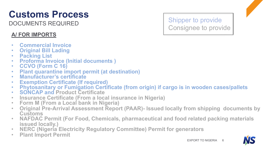# **Customs Process**

DOCUMENTS REQUIRED

### **A/ FOR IMPORTS**

- **Commercial Invoice Original Bill Lading**
- 
- 
- **Packing List Proforma Invoice (Initial documents ) CCVO (Form C 16)**
- 
- **Plant quarantine import permit (at destination) Manufacturer's certificate**
- 
- 
- **Exemption Certificate (If required) Phytosanitary or Fumigation Certificate (from origin) if cargo is in wooden cases/pallets SONCAP and Product Certificate**
- 
- **Insurance Certificate (From a local insurance in Nigeria) Form M (From a Local bank in Nigeria)**
- 
- **Original Pre-Arrival Assessment Report (PAAR)- Issued locally from shipping documents by Customs NAFDAC Permit (For Food, Chemicals, pharmaceutical and food related packing materials**
- **issued locally.) NERC (Nigeria Electricity Regulatory Committee) Permit for generators**
- 
- **Plant Import Permit**

Shipper to provide Consignee to provide



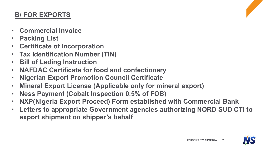### **B/ FOR EXPORTS**

- **Commercial Invoice**
- **Packing List**
- **Certificate of Incorporation**
- **Tax Identification Number (TIN)**
- **Bill of Lading Instruction**
- **NAFDAC Certificate for food and confectionery**
- **Nigerian Export Promotion Council Certificate**
- **Mineral Export License (Applicable only for mineral export)**
- **Ness Payment (Cobalt Inspection 0.5% of FOB)**
- **NXP(Nigeria Export Proceed) Form established with Commercial Bank**
- **Letters to appropriate Government agencies authorizing NORD SUD CTI to export shipment on shipper's behalf**

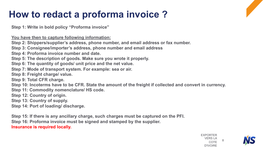## **How to redact a proforma invoice ?**

**Step 1: Write in bold policy "Proforma invoice"**

**You have then to capture following information:**

**Step 2: Shippers/supplier's address, phone number, and email address or fax number.**

**Step 3: Consignee/importer's address, phone number and email address**

**Step 4: Proforma invoice number and date.**

**Step 5: The description of goods. Make sure you wrote it properly.**

**Step 6: The quantity of goods/ unit price and the net value.**

**Step 7: Mode of transport system. For example: sea or air.**

**Step 8: Freight charge/ value.**

**Step 9: Total CFR charge.**

**Step 10: Incoterms have to be CFR. State the amount of the freight if collected and convert in currency.**

**Step 11: Commodity nomenclature/ HS code.**

**Step 12: Country of origin.**

**Step 13: Country of supply.**

**Step 14: Port of loading/ discharge.**

**Step 15: If there is any ancillary charge, such charges must be captured on the PFI. Step 16: Proforma invoice must be signed and stamped by the supplier. Insurance is required locally.**

> EXPORTER VERS LA COTE D'IVOIRE 8

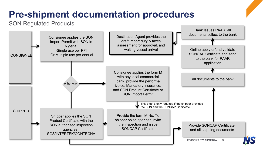## **Pre-shipment documentation procedures**

### SON Regulated Products

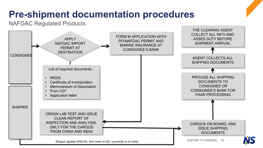## **Pre-shipment documentation procedures**

NAFDAC Regulated Products

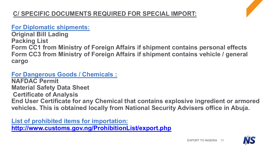### **For Diplomatic shipments:**

**Original Bill Lading Packing List Form CC1 from Ministry of Foreign Affairs if shipment contains personal effects Form CC3 from Ministry of Foreign Affairs if shipment contains vehicle / general cargo**

### **For Dangerous Goods / Chemicals :**

**NAFDAC Permit Material Safety Data Sheet Certificate of Analysis End User Certificate for any Chemical that contains explosive ingredient or armored vehicles. This is obtained locally from National Security Advisers office in Abuja.**

**List of prohibited items for importation: <http://www.customs.gov.ng/ProhibitionList/export.php>**

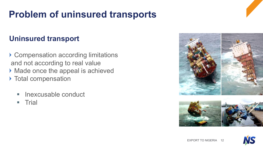## **Problem of uninsured transports**

### **Uninsured transport**

- ▶ Compensation according limitations and not according to real value Made once the appeal is achieved ▶ Total compensation
	- § Inexcusable conduct
	- **Trial**